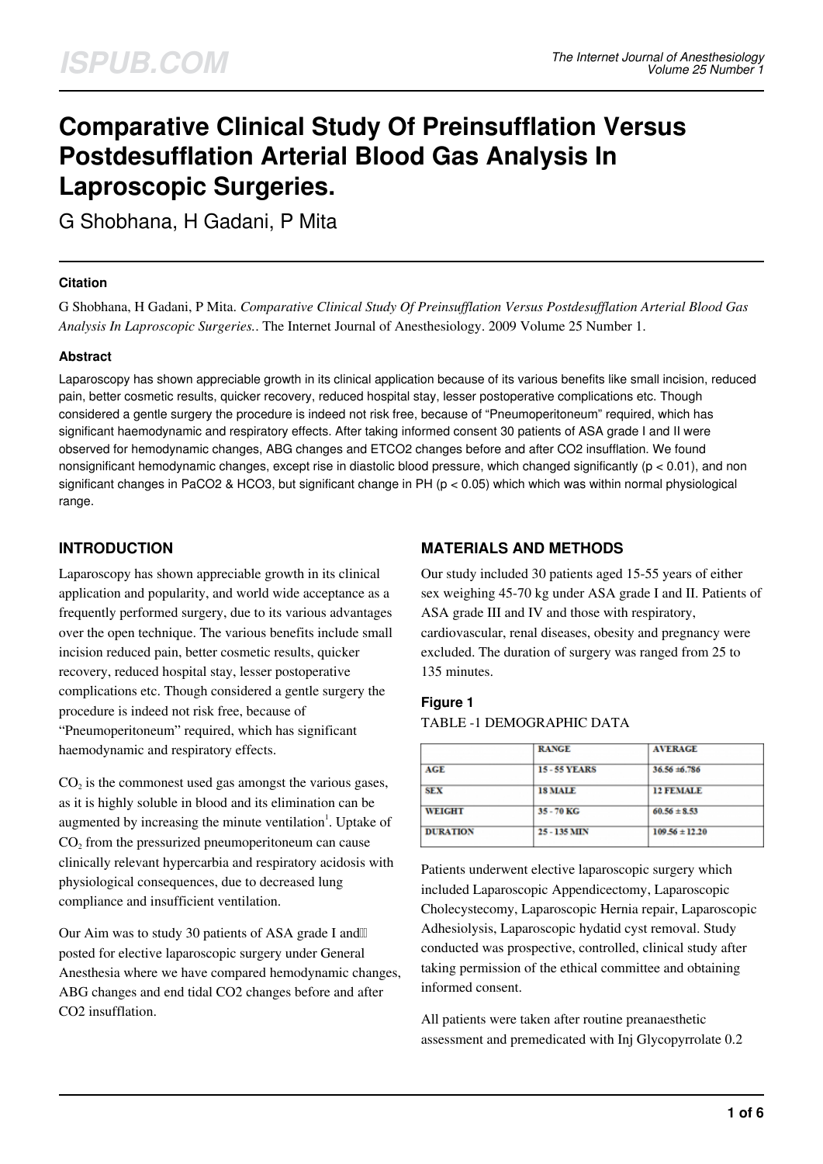# **Comparative Clinical Study Of Preinsufflation Versus Postdesufflation Arterial Blood Gas Analysis In Laproscopic Surgeries.**

G Shobhana, H Gadani, P Mita

## **Citation**

G Shobhana, H Gadani, P Mita. *Comparative Clinical Study Of Preinsufflation Versus Postdesufflation Arterial Blood Gas Analysis In Laproscopic Surgeries.*. The Internet Journal of Anesthesiology. 2009 Volume 25 Number 1.

## **Abstract**

Laparoscopy has shown appreciable growth in its clinical application because of its various benefits like small incision, reduced pain, better cosmetic results, quicker recovery, reduced hospital stay, lesser postoperative complications etc. Though considered a gentle surgery the procedure is indeed not risk free, because of "Pneumoperitoneum" required, which has significant haemodynamic and respiratory effects. After taking informed consent 30 patients of ASA grade I and II were observed for hemodynamic changes, ABG changes and ETCO2 changes before and after CO2 insufflation. We found nonsignificant hemodynamic changes, except rise in diastolic blood pressure, which changed significantly  $(p < 0.01)$ , and non significant changes in PaCO2 & HCO3, but significant change in PH ( $p < 0.05$ ) which which was within normal physiological range.

# **INTRODUCTION**

Laparoscopy has shown appreciable growth in its clinical application and popularity, and world wide acceptance as a frequently performed surgery, due to its various advantages over the open technique. The various benefits include small incision reduced pain, better cosmetic results, quicker recovery, reduced hospital stay, lesser postoperative complications etc. Though considered a gentle surgery the procedure is indeed not risk free, because of "Pneumoperitoneum" required, which has significant haemodynamic and respiratory effects.

 $CO<sub>2</sub>$  is the commonest used gas amongst the various gases, as it is highly soluble in blood and its elimination can be augmented by increasing the minute ventilation<sup>1</sup>. Uptake of  $CO<sub>2</sub>$  from the pressurized pneumoperitoneum can cause clinically relevant hypercarbia and respiratory acidosis with physiological consequences, due to decreased lung compliance and insufficient ventilation.

Our Aim was to study 30 patients of ASA grade I andll posted for elective laparoscopic surgery under General Anesthesia where we have compared hemodynamic changes, ABG changes and end tidal CO2 changes before and after CO2 insufflation.

# **MATERIALS AND METHODS**

Our study included 30 patients aged 15-55 years of either sex weighing 45-70 kg under ASA grade I and II. Patients of ASA grade III and IV and those with respiratory, cardiovascular, renal diseases, obesity and pregnancy were excluded. The duration of surgery was ranged from 25 to 135 minutes.

## **Figure 1**

#### TABLE -1 DEMOGRAPHIC DATA

|                 | <b>RANGE</b>       | <b>AVERAGE</b>     |  |
|-----------------|--------------------|--------------------|--|
| AGE             | <b>15-55 YEARS</b> | $36.56 \pm 6.786$  |  |
| <b>SEX</b>      | <b>18 MALE</b>     | <b>12 FEMALE</b>   |  |
| <b>WEIGHT</b>   | 35 - 70 KG         | $60.56 \pm 8.53$   |  |
| <b>DURATION</b> | 25 - 135 MIN       | $109.56 \pm 12.20$ |  |
|                 |                    |                    |  |

Patients underwent elective laparoscopic surgery which included Laparoscopic Appendicectomy, Laparoscopic Cholecystecomy, Laparoscopic Hernia repair, Laparoscopic Adhesiolysis, Laparoscopic hydatid cyst removal. Study conducted was prospective, controlled, clinical study after taking permission of the ethical committee and obtaining informed consent.

All patients were taken after routine preanaesthetic assessment and premedicated with Inj Glycopyrrolate 0.2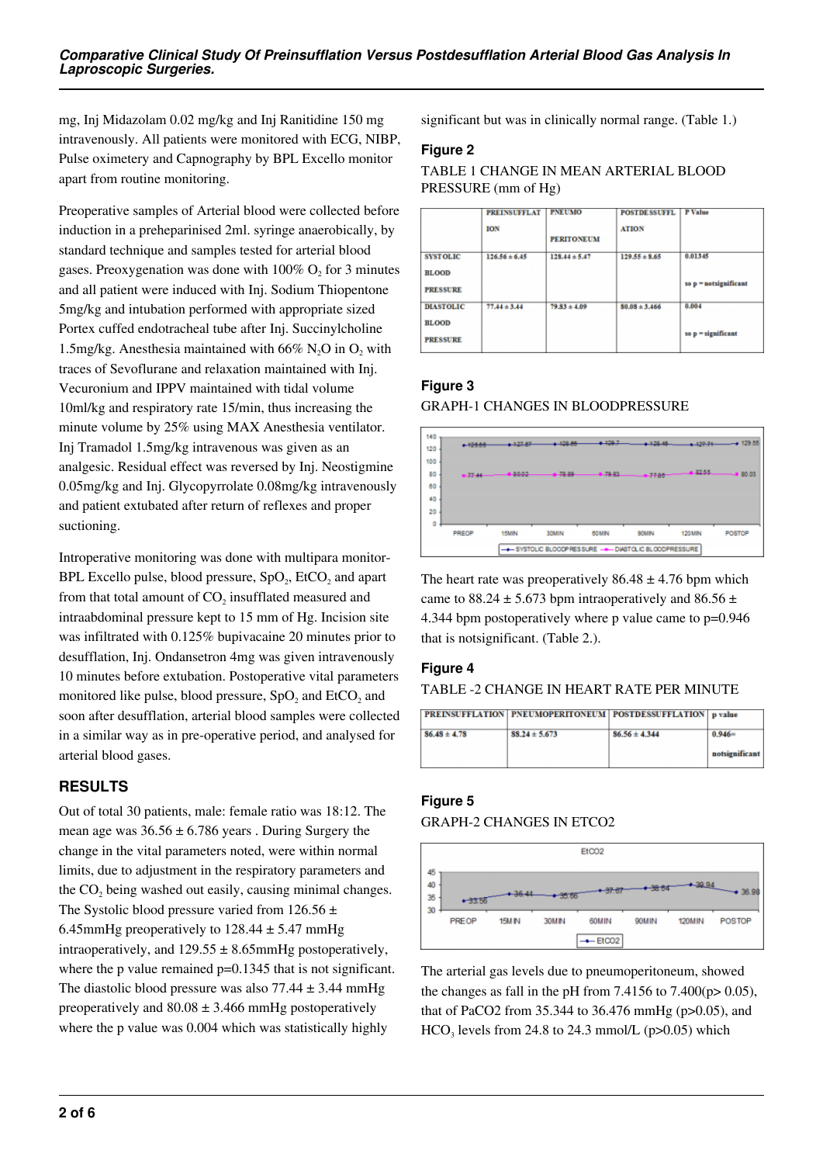mg, Inj Midazolam 0.02 mg/kg and Inj Ranitidine 150 mg intravenously. All patients were monitored with ECG, NIBP, Pulse oximetery and Capnography by BPL Excello monitor apart from routine monitoring.

Preoperative samples of Arterial blood were collected before induction in a preheparinised 2ml. syringe anaerobically, by standard technique and samples tested for arterial blood gases. Preoxygenation was done with  $100\%$  O<sub>2</sub> for 3 minutes and all patient were induced with Inj. Sodium Thiopentone 5mg/kg and intubation performed with appropriate sized Portex cuffed endotracheal tube after Inj. Succinylcholine 1.5mg/kg. Anesthesia maintained with 66%  $N_2O$  in  $O_2$  with traces of Sevoflurane and relaxation maintained with Inj. Vecuronium and IPPV maintained with tidal volume 10ml/kg and respiratory rate 15/min, thus increasing the minute volume by 25% using MAX Anesthesia ventilator. Inj Tramadol 1.5mg/kg intravenous was given as an analgesic. Residual effect was reversed by Inj. Neostigmine 0.05mg/kg and Inj. Glycopyrrolate 0.08mg/kg intravenously and patient extubated after return of reflexes and proper suctioning.

Introperative monitoring was done with multipara monitor-BPL Excello pulse, blood pressure,  $SpO_2$ , EtCO<sub>2</sub> and apart from that total amount of  $CO<sub>2</sub>$  insufflated measured and intraabdominal pressure kept to 15 mm of Hg. Incision site was infiltrated with 0.125% bupivacaine 20 minutes prior to desufflation, Inj. Ondansetron 4mg was given intravenously 10 minutes before extubation. Postoperative vital parameters monitored like pulse, blood pressure,  $SpO<sub>2</sub>$  and EtCO<sub>2</sub> and soon after desufflation, arterial blood samples were collected in a similar way as in pre-operative period, and analysed for arterial blood gases.

# **RESULTS**

Out of total 30 patients, male: female ratio was 18:12. The mean age was  $36.56 \pm 6.786$  years. During Surgery the change in the vital parameters noted, were within normal limits, due to adjustment in the respiratory parameters and the  $CO<sub>2</sub>$  being washed out easily, causing minimal changes. The Systolic blood pressure varied from  $126.56 \pm$ 6.45mmHg preoperatively to  $128.44 \pm 5.47$  mmHg intraoperatively, and  $129.55 \pm 8.65$  mmHg postoperatively, where the p value remained  $p=0.1345$  that is not significant. The diastolic blood pressure was also  $77.44 \pm 3.44$  mmHg preoperatively and  $80.08 \pm 3.466$  mmHg postoperatively where the p value was 0.004 which was statistically highly

significant but was in clinically normal range. (Table 1.)

#### **Figure 2**

TABLE 1 CHANGE IN MEAN ARTERIAL BLOOD PRESSURE (mm of Hg)

|                                                     | <b>PREINSUFFLAT</b><br><b>ION</b> | <b>PNEUMO</b><br><b>PERITONEUM</b> | <b>POSTDE SSUFFL</b><br><b>ATION</b> | P Value                          |
|-----------------------------------------------------|-----------------------------------|------------------------------------|--------------------------------------|----------------------------------|
| <b>SYSTOLIC</b><br><b>BLOOD</b><br><b>PRESSURE</b>  | $126.56 \pm 6.45$                 | $128.44 \pm 5.47$                  | $129.55 \pm 8.65$                    | 0.01345<br>so p = notsignificant |
| <b>DIASTOLIC</b><br><b>BLOOD</b><br><b>PRESSURE</b> | $77.44 \pm 3.44$                  | $79.83 \pm 4.09$                   | $80.08 \pm 3.466$                    | 0.004<br>so p = significant      |

## **Figure 3**

## GRAPH-1 CHANGES IN BLOODPRESSURE



The heart rate was preoperatively  $86.48 \pm 4.76$  bpm which came to  $88.24 \pm 5.673$  bpm intraoperatively and  $86.56 \pm 1.673$ 4.344 bpm postoperatively where p value came to p=0.946 that is notsignificant. (Table 2.).

# **Figure 4**

TABLE -2 CHANGE IN HEART RATE PER MINUTE

|                  | <b>PREINSUFFLATION   PNEUMOPERITONEUM   POSTDESSUFFLATION   p value</b> |                   |                |
|------------------|-------------------------------------------------------------------------|-------------------|----------------|
| $86.48 \pm 4.78$ | $88.24 \pm 5.673$                                                       | $86.56 \pm 4.344$ | $0.946=$       |
|                  |                                                                         |                   | notsignificant |

# **Figure 5**

#### GRAPH-2 CHANGES IN ETCO2



The arterial gas levels due to pneumoperitoneum, showed the changes as fall in the pH from 7.4156 to 7.400( $p > 0.05$ ), that of PaCO2 from 35.344 to 36.476 mmHg (p>0.05), and  $HCO<sub>3</sub>$  levels from 24.8 to 24.3 mmol/L (p>0.05) which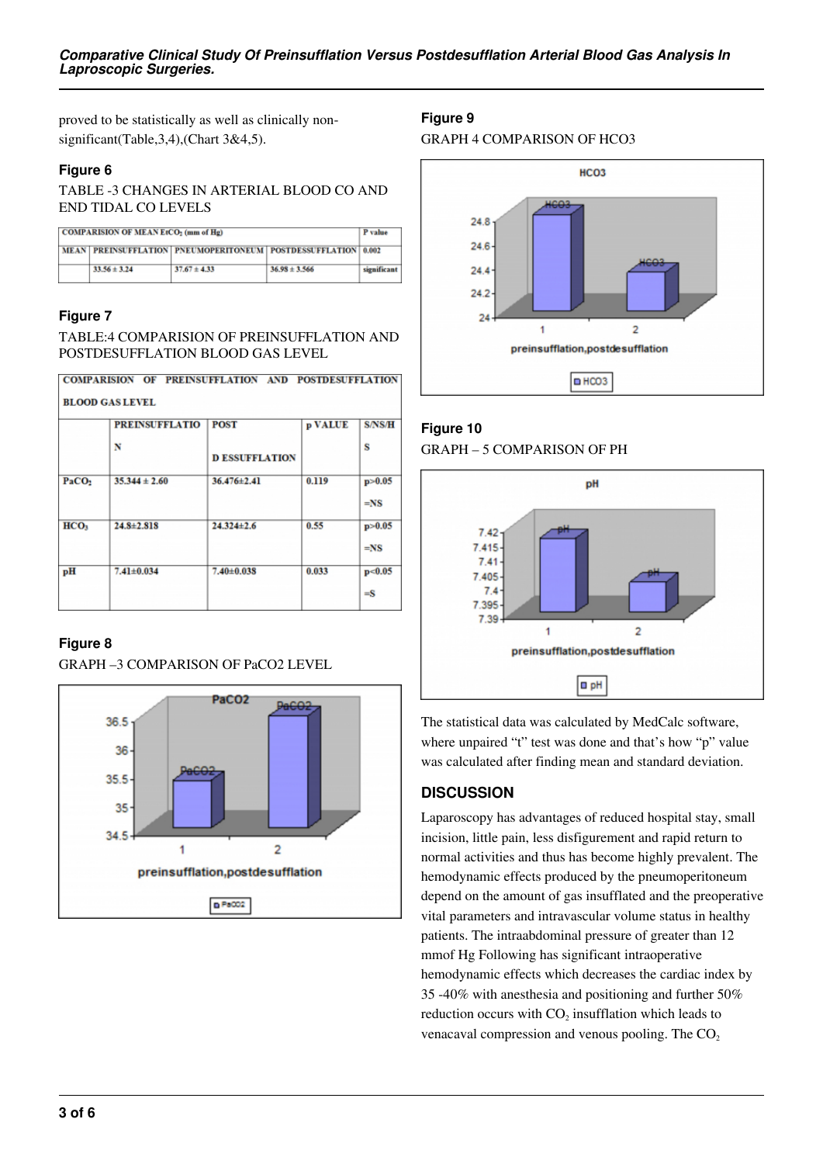proved to be statistically as well as clinically nonsignificant(Table, 3, 4), (Chart 3&4, 5).

## **Figure 6**

TABLE -3 CHANGES IN ARTERIAL BLOOD CO AND END TIDAL CO LEVELS

| <b>COMPARISION OF MEAN EtCO<sub>2</sub></b> (mm of Hg) |                                                               |                  |                   | P value     |  |
|--------------------------------------------------------|---------------------------------------------------------------|------------------|-------------------|-------------|--|
|                                                        | MEAN PREINSUFFLATION PNEUMOPERITONEUM POSTDESSUFFLATION 0.002 |                  |                   |             |  |
|                                                        | $33.56 \pm 3.24$                                              | $37.67 \pm 4.33$ | $36.98 \pm 3.566$ | significant |  |

## **Figure 7**

TABLE:4 COMPARISION OF PREINSUFFLATION AND POSTDESUFFLATION BLOOD GAS LEVEL

|                        |  | COMPARISION OF PREINSUFFLATION AND POSTDESUFFLATION |
|------------------------|--|-----------------------------------------------------|
| <b>BLOOD GAS LEVEL</b> |  |                                                     |

|                   | <b>PREINSUFFLATIO</b> | <b>POST</b>           | p VALUE | <b>S/NS/H</b>      |
|-------------------|-----------------------|-----------------------|---------|--------------------|
|                   | N                     | <b>D ESSUFFLATION</b> |         | s                  |
| PaCO <sub>2</sub> | $35.344 \pm 2.60$     | 36.476±2.41           | 0.119   | p > 0.05<br>$=$ NS |
| HCO <sub>3</sub>  | $24.8 \pm 2.818$      | $24.324 \pm 2.6$      | 0.55    | p > 0.05<br>$=$ NS |
| pH                | $7.41 \pm 0.034$      | $7.40 \pm 0.038$      | 0.033   | p<0.05<br>$=$ S    |

## **Figure 8**

GRAPH –3 COMPARISON OF PaCO2 LEVEL



# **Figure 9**

GRAPH 4 COMPARISON OF HCO3



**Figure 10** GRAPH – 5 COMPARISON OF PH



The statistical data was calculated by MedCalc software, where unpaired "t" test was done and that's how "p" value was calculated after finding mean and standard deviation.

# **DISCUSSION**

Laparoscopy has advantages of reduced hospital stay, small incision, little pain, less disfigurement and rapid return to normal activities and thus has become highly prevalent. The hemodynamic effects produced by the pneumoperitoneum depend on the amount of gas insufflated and the preoperative vital parameters and intravascular volume status in healthy patients. The intraabdominal pressure of greater than 12 mmof Hg Following has significant intraoperative hemodynamic effects which decreases the cardiac index by 35 -40% with anesthesia and positioning and further 50% reduction occurs with  $CO<sub>2</sub>$  insufflation which leads to venacaval compression and venous pooling. The  $CO<sub>2</sub>$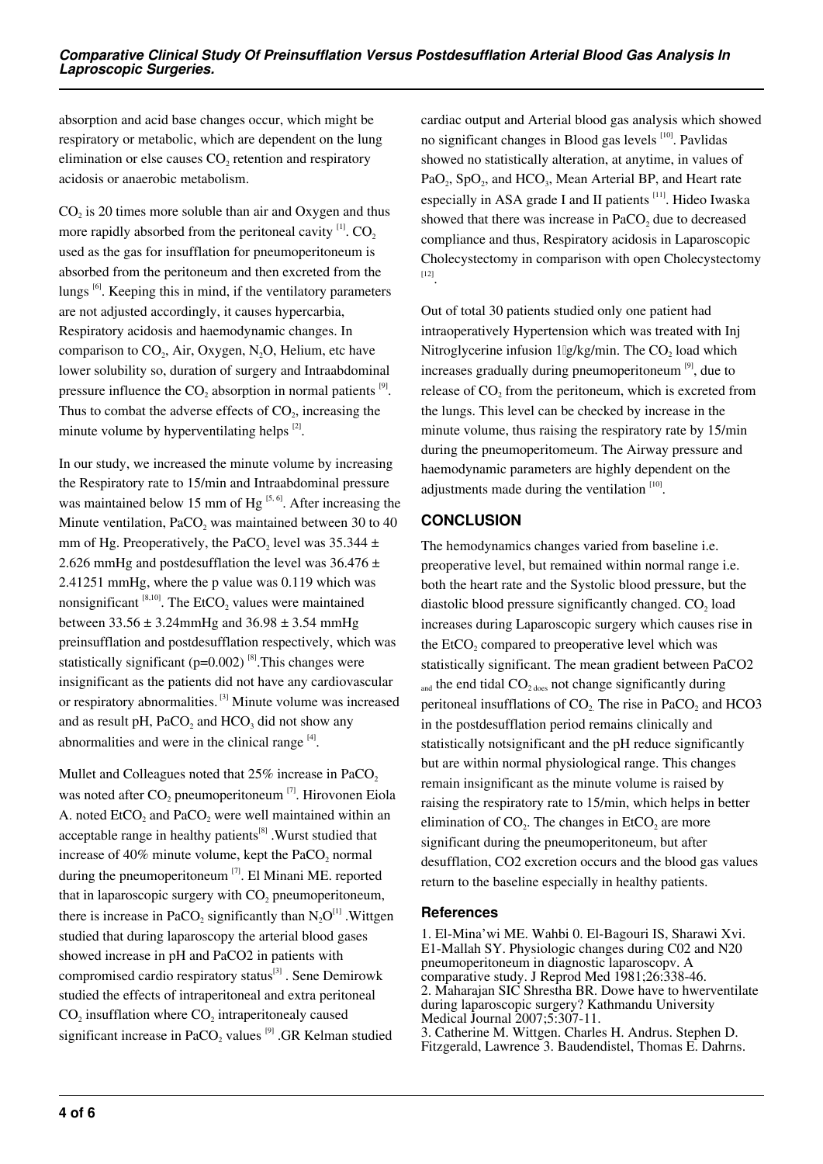absorption and acid base changes occur, which might be respiratory or metabolic, which are dependent on the lung elimination or else causes  $CO<sub>2</sub>$  retention and respiratory acidosis or anaerobic metabolism.

 $CO<sub>2</sub>$  is 20 times more soluble than air and Oxygen and thus more rapidly absorbed from the peritoneal cavity  $[1]$ . CO<sub>2</sub> used as the gas for insufflation for pneumoperitoneum is absorbed from the peritoneum and then excreted from the lungs<sup>[6]</sup>. Keeping this in mind, if the ventilatory parameters are not adjusted accordingly, it causes hypercarbia, Respiratory acidosis and haemodynamic changes. In comparison to  $CO<sub>2</sub>$ , Air, Oxygen, N<sub>2</sub>O, Helium, etc have lower solubility so, duration of surgery and Intraabdominal pressure influence the  $CO_2$  absorption in normal patients  $^{[9]}$ . Thus to combat the adverse effects of  $CO<sub>2</sub>$ , increasing the minute volume by hyperventilating helps [2].

In our study, we increased the minute volume by increasing the Respiratory rate to 15/min and Intraabdominal pressure was maintained below 15 mm of  $Hg^{5, 6}$ . After increasing the Minute ventilation,  $PaCO<sub>2</sub>$  was maintained between 30 to 40 mm of Hg. Preoperatively, the PaCO<sub>2</sub> level was  $35.344 \pm$ 2.626 mmHg and postdesufflation the level was  $36.476 \pm$ 2.41251 mmHg, where the p value was 0.119 which was nonsignificant  $^{[8,10]}$ . The EtCO<sub>2</sub> values were maintained between  $33.56 \pm 3.24$ mmHg and  $36.98 \pm 3.54$  mmHg preinsufflation and postdesufflation respectively, which was statistically significant ( $p=0.002$ )<sup>[8]</sup>. This changes were insignificant as the patients did not have any cardiovascular or respiratory abnormalities. [3] Minute volume was increased and as result pH,  $PaCO<sub>2</sub>$  and  $HCO<sub>3</sub>$  did not show any abnormalities and were in the clinical range  $^{[4]}$ .

Mullet and Colleagues noted that 25% increase in PaCO<sub>2</sub> was noted after  $CO_2$  pneumoperitoneum  $^{[7]}$ . Hirovonen Eiola A. noted  $E(CO<sub>2</sub>$  and PaCO<sub>2</sub> were well maintained within an acceptable range in healthy patients<sup>[8]</sup> . Wurst studied that increase of 40% minute volume, kept the  $PaCO<sub>2</sub>$  normal during the pneumoperitoneum  $\left(7\right)$ . El Minani ME. reported that in laparoscopic surgery with  $CO<sub>2</sub>$  pneumoperitoneum, there is increase in PaCO<sub>2</sub> significantly than  $N_2O^{[1]}$  . Wittgen studied that during laparoscopy the arterial blood gases showed increase in pH and PaCO2 in patients with compromised cardio respiratory status<sup>[3]</sup>. Sene Demirowk studied the effects of intraperitoneal and extra peritoneal  $CO<sub>2</sub>$  insufflation where  $CO<sub>2</sub>$  intraperitonealy caused significant increase in PaCO<sub>2</sub> values  $^{[9]}$  .GR Kelman studied

cardiac output and Arterial blood gas analysis which showed no significant changes in Blood gas levels [10]. Pavlidas showed no statistically alteration, at anytime, in values of PaO<sub>2</sub>, SpO<sub>2</sub>, and HCO<sub>3</sub>, Mean Arterial BP, and Heart rate especially in ASA grade I and II patients  $[11]$ . Hideo Iwaska showed that there was increase in  $PaCO<sub>2</sub>$  due to decreased compliance and thus, Respiratory acidosis in Laparoscopic Cholecystectomy in comparison with open Cholecystectomy [12] .

Out of total 30 patients studied only one patient had intraoperatively Hypertension which was treated with Inj Nitroglycerine infusion  $1\lg/kg/min$ . The CO<sub>2</sub> load which increases gradually during pneumoperitoneum [9], due to release of  $CO<sub>2</sub>$  from the peritoneum, which is excreted from the lungs. This level can be checked by increase in the minute volume, thus raising the respiratory rate by 15/min during the pneumoperitomeum. The Airway pressure and haemodynamic parameters are highly dependent on the adjustments made during the ventilation<sup>[10]</sup>.

# **CONCLUSION**

The hemodynamics changes varied from baseline i.e. preoperative level, but remained within normal range i.e. both the heart rate and the Systolic blood pressure, but the diastolic blood pressure significantly changed.  $CO<sub>2</sub>$  load increases during Laparoscopic surgery which causes rise in the  $E<sub>1</sub>CO<sub>2</sub>$  compared to preoperative level which was statistically significant. The mean gradient between PaCO2 and the end tidal  $CO<sub>2</sub>$  does not change significantly during peritoneal insufflations of  $CO<sub>2</sub>$ . The rise in PaCO<sub>2</sub> and HCO3 in the postdesufflation period remains clinically and statistically notsignificant and the pH reduce significantly but are within normal physiological range. This changes remain insignificant as the minute volume is raised by raising the respiratory rate to 15/min, which helps in better elimination of  $CO<sub>2</sub>$ . The changes in EtCO<sub>2</sub> are more significant during the pneumoperitoneum, but after desufflation, CO2 excretion occurs and the blood gas values return to the baseline especially in healthy patients.

#### **References**

1. El-Mina'wi ME. Wahbi 0. El-Bagouri IS, Sharawi Xvi. E1-Mallah SY. Physiologic changes during C02 and N20 pneumoperitoneum in diagnostic laparoscopv. A comparative study. J Reprod Med 1981;26:338-46. 2. Maharajan SIC Shrestha BR. Dowe have to hwerventilate during laparoscopic surgery? Kathmandu University Medical Journal 2007;5:307-11. 3. Catherine M. Wittgen. Charles H. Andrus. Stephen D. Fitzgerald, Lawrence 3. Baudendistel, Thomas E. Dahrns.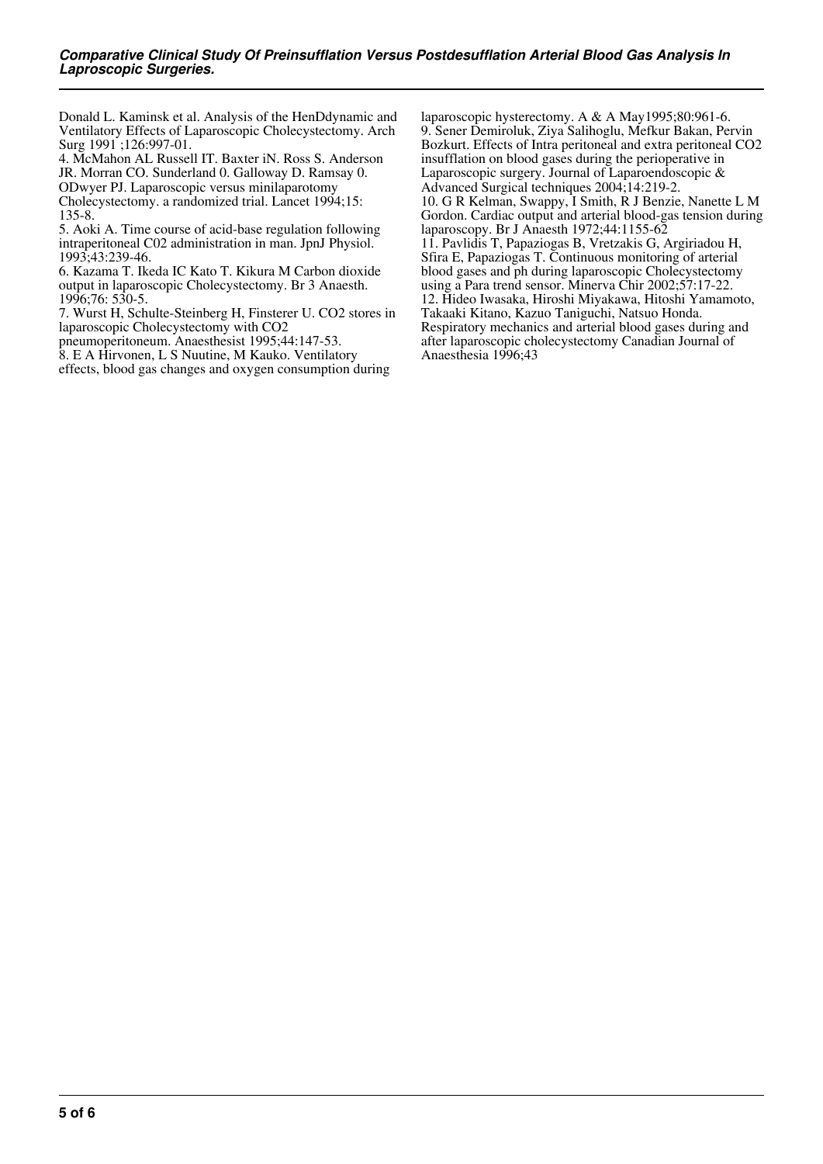Donald L. Kaminsk et al. Analysis of the HenDdynamic and Ventilatory Effects of Laparoscopic Cholecystectomy. Arch Surg 1991 ;126:997-01.

4. McMahon AL Russell IT. Baxter iN. Ross S. Anderson

JR. Morran CO. Sunderland 0. Galloway D. Ramsay 0. ODwyer PJ. Laparoscopic versus minilaparotomy

Cholecystectomy. a randomized trial. Lancet 1994;15: 135-8.

5. Aoki A. Time course of acid-base regulation following intraperitoneal C02 administration in man. JpnJ Physiol. 1993;43:239-46.

6. Kazama T. Ikeda IC Kato T. Kikura M Carbon dioxide output in laparoscopic Cholecystectomy. Br 3 Anaesth. 1996;76: 530-5.

7. Wurst H, Schulte-Steinberg H, Finsterer U. CO2 stores in laparoscopic Cholecystectomy with CO2

pneumoperitoneum. Anaesthesist 1995;44:147-53.

8. E A Hirvonen, L S Nuutine, M Kauko. Ventilatory

effects, blood gas changes and oxygen consumption during

laparoscopic hysterectomy. A & A May1995;80:961-6. 9. Sener Demiroluk, Ziya Salihoglu, Mefkur Bakan, Pervin Bozkurt. Effects of Intra peritoneal and extra peritoneal CO2 insufflation on blood gases during the perioperative in Laparoscopic surgery. Journal of Laparoendoscopic & Advanced Surgical techniques 2004;14:219-2. 10. G R Kelman, Swappy, I Smith, R J Benzie, Nanette L M Gordon. Cardiac output and arterial blood-gas tension during laparoscopy. Br J Anaesth 1972;44:1155-62 11. Pavlidis T, Papaziogas B, Vretzakis G, Argiriadou H, Sfira E, Papaziogas T. Continuous monitoring of arterial blood gases and ph during laparoscopic Cholecystectomy using a Para trend sensor. Minerva Chir 2002;57:17-22. 12. Hideo Iwasaka, Hiroshi Miyakawa, Hitoshi Yamamoto, Takaaki Kitano, Kazuo Taniguchi, Natsuo Honda. Respiratory mechanics and arterial blood gases during and after laparoscopic cholecystectomy Canadian Journal of Anaesthesia 1996;43